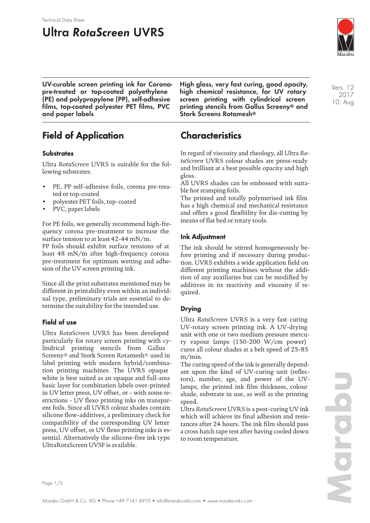#### Technical Data Sheet

## **Ultra RotaScreen UVRS**



**UV-curable screen printing ink for Coronapre-treated or top-coated polyethylene (PE) and polypropylene (PP), self-adhesive films, top-coated polyester PET films, PVC and paper labels**

## **Field of Application**

#### **Substrates**

Ultra *RotaScreen* UVRS is suitable for the following substrates:

- PE, PP self-adhesive foils, corona pre-treated or top-coated
- polyester PET foils, top-coated
- PVC, paper labels

For PE foils, we generally recommend high-frequency corona pre-treatment to increase the surface tension to at least 42-44 mN/m. PP foils should exhibit surface tensions of at least 48 mN/m after high-frequency corona pre-treatment for optimum wetting and adhesion of the UV screen printing ink.

Since all the print substrates mentioned may be different in printability even within an individual type, preliminary trials are essential to determine the suitability for the intended use.

#### **Field of use**

Ultra *RotaScreen* UVRS has been developed particularly for rotary screen printing with cylindrical printing stencils from Gallus Screeny® and Stork Screen Rotamesh® used in label printing with modern hybrid/combination printing machines. The UVRS opaque white is best suited as an opaque and full-area basic layer for combination labels over-printed in UV letter press, UV offset, or – with some restrictions - UV flexo printing inks on transparent foils. Since all UVRS colour shades contain silicone flow-additives, a preliminary check for compatibility of the corresponding UV letter press, UV offset, or UV flexo printing inks is essential. Alternatively the silicone-free ink type UltraRotaScreen UVSF is available.

**High gloss, very fast curing, good opacity, high chemical resistance, for UV rotary screen printing with cylindrical screen printing stencils from Gallus Screeny® and Stork Screens Rotamesh®**

### **Characteristics**

In regard of viscosity and rheology, all Ultra *RotaScreen* UVRS colour shades are press-ready and brilliant at a best possible opacity and high gloss.

All UVRS shades can be embossed with suitable hot stamping foils.

The printed and totally polymerised ink film has a high chemical and mechanical resistance and offers a good flexibility for die-cutting by means of flat bed or rotary tools.

#### **Ink Adjustment**

The ink should be stirred homogeneously before printing and if necessary during production. UVRS exhibits a wide application field on different printing machines without the addition of any auxiliaries but can be modified by additives in its reactivity and viscosity if required.

#### **Drying**

Ultra *RotaScreen* UVRS is a very fast curing UV-rotary screen printing ink. A UV-drying unit with one or two medium pressure mercury vapour lamps (150-200 W/cm power) cures all colour shades at a belt speed of 25-85 m/min.

The curing speed of the ink is generally dependant upon the kind of UV-curing unit (reflectors), number, age, and power of the UVlamps, the printed ink film thickness, colour shade, substrate in use, as well as the printing speed.

Ultra *RotaScreen* UVRS is a post-curing UV ink which will achieve its final adhesion and resistances after 24 hours. The ink film should pass a cross hatch tape test after having cooled down to room temperature.

Vers. 12 2017 10. Aug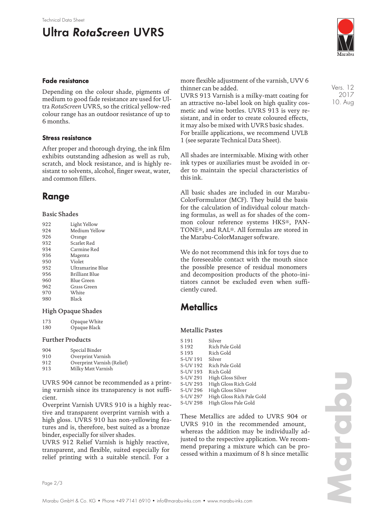# **Ultra RotaScreen UVRS**



#### **Fade resistance**

Depending on the colour shade, pigments of medium to good fade resistance are used for Ultra *RotaScreen* UVRS, so the critical yellow-red colour range has an outdoor resistance of up to 6 months.

#### **Stress resistance**

After proper and thorough drying, the ink film exhibits outstanding adhesion as well as rub, scratch, and block resistance, and is highly resistant to solvents, alcohol, finger sweat, water, and common fillers.

### **Range**

#### Basic Shades

| 922 | Light Yellow     |
|-----|------------------|
| 924 | Medium Yellow    |
| 926 | Orange           |
| 932 | Scarlet Red      |
| 934 | Carmine Red      |
| 936 | Magenta          |
| 950 | Violet           |
| 952 | Ultramarine Blue |
| 956 | Brilliant Blue   |
| 960 | Blue Green       |
| 962 | Grass Green      |
| 970 | White            |
| 980 | <b>Black</b>     |
|     |                  |

#### High Opaque Shades

| 173 | Opaque White |
|-----|--------------|
| 180 | Opaque Black |

#### Further Products

| Special Binder             |
|----------------------------|
| Overprint Varnish          |
| Overprint Varnish (Relief) |
| Milky Matt Varnish         |
|                            |

UVRS 904 cannot be recommended as a printing varnish since its transparency is not sufficient.

Overprint Varnish UVRS 910 is a highly reactive and transparent overprint varnish with a high gloss. UVRS 910 has non-yellowing features and is, therefore, best suited as a bronze binder, especially for silver shades.

UVRS 912 Relief Varnish is highly reactive, transparent, and flexible, suited especially for relief printing with a suitable stencil. For a

more flexible adjustment of the varnish, UVV 6 thinner can be added.

UVRS 913 Varnish is a milky-matt coating for an attractive no-label look on high quality cosmetic and wine bottles. UVRS 913 is very resistant, and in order to create coloured effects, it may also be mixed with UVRS basic shades. For braille applications, we recommend UVLB 1 (see separate Technical Data Sheet).

All shades are intermixable. Mixing with other ink types or auxiliaries must be avoided in order to maintain the special characteristics of this ink.

All basic shades are included in our Marabu-ColorFormulator (MCF). They build the basis for the calculation of individual colour matching formulas, as well as for shades of the common colour reference systems HKS®, PAN-TONE®, and RAL®. All formulas are stored in the Marabu-ColorManager software.

We do not recommend this ink for toys due to the foreseeable contact with the mouth since the possible presence of residual monomers and decomposition products of the photo-initiators cannot be excluded even when sufficiently cured.

### **Metallics**

#### Metallic Pastes

| S <sub>191</sub> | Silver                    |
|------------------|---------------------------|
| S <sub>192</sub> | Rich Pale Gold            |
| S <sub>193</sub> | Rich Gold                 |
| S-UV 191         | Silver                    |
| S-UV 192         | Rich Pale Gold            |
| S-UV 193         | Rich Gold                 |
| S-UV 291         | High Gloss Silver         |
| S-UV 293         | High Gloss Rich Gold      |
| S-UV 296         | High Gloss Silver         |
| S-UV 297         | High Gloss Rich Pale Gold |
| S-UV 298         | High Gloss Pale Gold      |

These Metallics are added to UVRS 904 or UVRS 910 in the recommended amount, whereas the addition may be individually adjusted to the respective application. We recommend preparing a mixture which can be processed within a maximum of 8 h since metallic